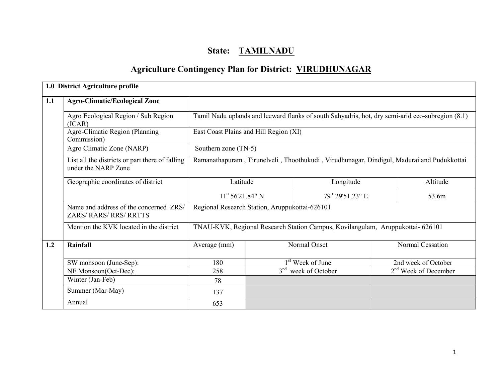# State: TAMILNADU

# Agriculture Contingency Plan for District: VIRUDHUNAGAR

|     | 1.0 District Agriculture profile                                        |                                                |          |                                                                                                  |           |                        |  |  |
|-----|-------------------------------------------------------------------------|------------------------------------------------|----------|--------------------------------------------------------------------------------------------------|-----------|------------------------|--|--|
| 1.1 | <b>Agro-Climatic/Ecological Zone</b>                                    |                                                |          |                                                                                                  |           |                        |  |  |
|     | Agro Ecological Region / Sub Region<br>(ICAR)                           |                                                |          | Tamil Nadu uplands and leeward flanks of south Sahyadris, hot, dry semi-arid eco-subregion (8.1) |           |                        |  |  |
|     | Agro-Climatic Region (Planning<br>Commission)                           | East Coast Plains and Hill Region (XI)         |          |                                                                                                  |           |                        |  |  |
|     | Agro Climatic Zone (NARP)                                               | Southern zone (TN-5)                           |          |                                                                                                  |           |                        |  |  |
|     | List all the districts or part there of falling<br>under the NARP Zone  |                                                |          | Ramanathapuram, Tirunelveli, Thoothukudi, Virudhunagar, Dindigul, Madurai and Pudukkottai        |           |                        |  |  |
|     | Geographic coordinates of district                                      |                                                | Latitude |                                                                                                  | Longitude |                        |  |  |
|     |                                                                         | $11^{\circ}$ 56'21.84" N                       |          | 79° 29'51.23" E                                                                                  |           | 53.6m                  |  |  |
|     | Name and address of the concerned ZRS/<br><b>ZARS/ RARS/ RRS/ RRTTS</b> | Regional Research Station, Aruppukottai-626101 |          |                                                                                                  |           |                        |  |  |
|     | Mention the KVK located in the district                                 |                                                |          | TNAU-KVK, Regional Research Station Campus, Kovilangulam, Aruppukottai- 626101                   |           |                        |  |  |
| 1.2 | Rainfall                                                                | Average (mm)                                   |          | Normal Onset                                                                                     |           | Normal Cessation       |  |  |
|     | SW monsoon (June-Sep):                                                  | 180                                            |          | 1 <sup>st</sup> Week of June                                                                     |           | 2nd week of October    |  |  |
|     | NE Monsoon(Oct-Dec):                                                    | 258                                            |          | week of October                                                                                  |           | $2nd$ Week of December |  |  |
|     | Winter (Jan-Feb)                                                        | 78                                             |          |                                                                                                  |           |                        |  |  |
|     | Summer (Mar-May)                                                        | 137                                            |          |                                                                                                  |           |                        |  |  |
|     | Annual                                                                  | 653                                            |          |                                                                                                  |           |                        |  |  |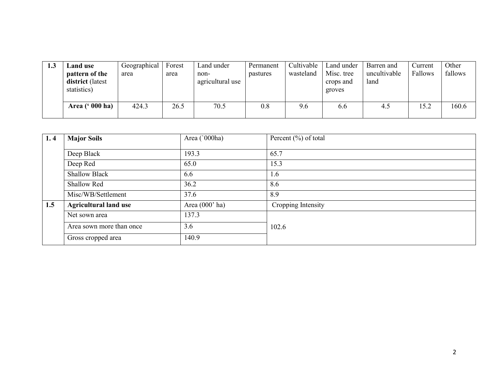| 1.3 | Land use<br>pattern of the<br>district (latest<br>statistics) | Geographical<br>area | Forest<br>area | Land under<br>non-<br>agricultural use | Permanent<br>pastures | Cultivable<br>wasteland | Land under<br>Misc. tree<br>crops and<br>groves | Barren and<br>uncultivable<br>land | Current<br>Fallows | Other<br>fallows |
|-----|---------------------------------------------------------------|----------------------|----------------|----------------------------------------|-----------------------|-------------------------|-------------------------------------------------|------------------------------------|--------------------|------------------|
|     | Area (' 000 ha)                                               | 424.3                | 26.5           | 70.5                                   | 0.8                   | 9.6                     | 6.6                                             | 4.5                                | 15.2               | 160.6            |

| 1, 4 | <b>Major Soils</b>           | Area ('000ha)    | Percent $(\% )$ of total |
|------|------------------------------|------------------|--------------------------|
|      | Deep Black                   | 193.3            | 65.7                     |
|      | Deep Red                     | 65.0             | 15.3                     |
|      | <b>Shallow Black</b>         | 6.6              | 1.6                      |
|      | Shallow Red                  | 36.2             | 8.6                      |
|      | Misc/WB/Settlement           | 37.6             | 8.9                      |
| 1.5  | <b>Agricultural land use</b> | Area $(000'$ ha) | Cropping Intensity       |
|      | Net sown area                | 137.3            |                          |
|      | Area sown more than once     | 3.6              | 102.6                    |
|      | Gross cropped area           | 140.9            |                          |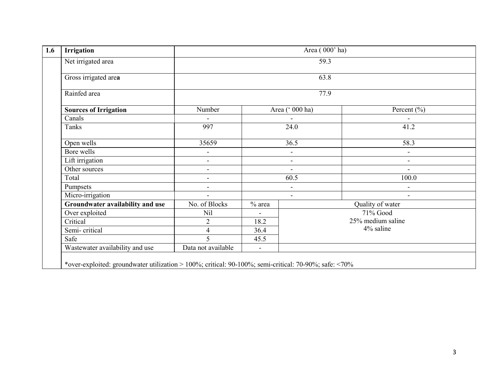| <b>Irrigation</b>                | Area (000' ha)           |                                 |                                |                          |  |  |  |
|----------------------------------|--------------------------|---------------------------------|--------------------------------|--------------------------|--|--|--|
| Net irrigated area               |                          |                                 | 59.3                           |                          |  |  |  |
| Gross irrigated area             |                          | 63.8                            |                                |                          |  |  |  |
| Rainfed area                     |                          | 77.9                            |                                |                          |  |  |  |
| <b>Sources of Irrigation</b>     | Number                   | Area (' 000 ha)<br>24.0<br>36.5 |                                | Percent $(\% )$          |  |  |  |
| Canals                           |                          |                                 |                                | $\blacksquare$           |  |  |  |
| Tanks                            | 997                      |                                 |                                | 41.2                     |  |  |  |
| Open wells                       | 35659                    |                                 |                                | 58.3                     |  |  |  |
| Bore wells                       | $\blacksquare$           |                                 | $\overline{\phantom{a}}$       | $\blacksquare$           |  |  |  |
| Lift irrigation                  | $\overline{\phantom{a}}$ |                                 | $\blacksquare$                 | $\overline{\phantom{a}}$ |  |  |  |
| Other sources                    | $\overline{\phantom{a}}$ | $\blacksquare$                  |                                | $\blacksquare$           |  |  |  |
| Total                            | $\overline{a}$           |                                 | 60.5                           | 100.0                    |  |  |  |
| Pumpsets                         | $\overline{\phantom{a}}$ |                                 | $\blacksquare$                 | $\overline{\phantom{a}}$ |  |  |  |
| Micro-irrigation                 | $\blacksquare$           |                                 | $\blacksquare$                 | $\overline{\phantom{a}}$ |  |  |  |
| Groundwater availability and use | No. of Blocks            | $%$ area                        |                                | Quality of water         |  |  |  |
| Over exploited                   | Nil                      | $\blacksquare$                  |                                | 71% Good                 |  |  |  |
| Critical                         | $\overline{2}$           | 18.2                            | 25% medium saline<br>4% saline |                          |  |  |  |
| Semi-critical                    | $\overline{4}$           | 36.4                            |                                |                          |  |  |  |
| Safe                             | 5                        | 45.5                            |                                |                          |  |  |  |
| Wastewater availability and use  | Data not available       | $\blacksquare$                  |                                |                          |  |  |  |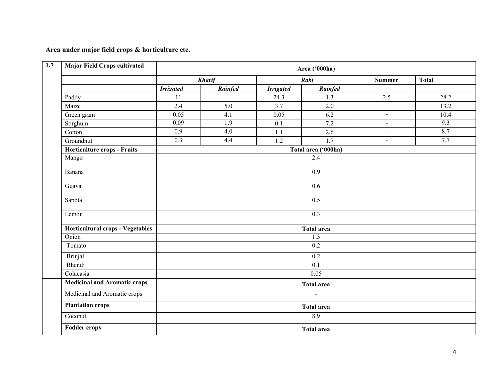Area under major field crops & horticulture etc.

| <b>Major Field Crops cultivated</b> |                   |                   |                  | Area ('000ha)       |                |              |  |  |  |  |
|-------------------------------------|-------------------|-------------------|------------------|---------------------|----------------|--------------|--|--|--|--|
|                                     |                   | <b>Kharif</b>     |                  | Rabi                | <b>Summer</b>  | <b>Total</b> |  |  |  |  |
|                                     | <b>Irrigated</b>  | Rainfed           | <b>Irrigated</b> | Rainfed             |                |              |  |  |  |  |
| Paddy                               | 11                |                   | 24.3             | 1.3                 | 2.5            | 28.2         |  |  |  |  |
| Maize                               | 2.4               | 5.0               | 3.7              | 2.0                 | $\sim$         | 13.2         |  |  |  |  |
| Green gram                          | 0.05              | 4.1               | 0.05             | 6.2                 | $\blacksquare$ | 10.4         |  |  |  |  |
| Sorghum                             | 0.09              | 1.9               | 0.1              | 7.2                 | $\blacksquare$ | 9.3          |  |  |  |  |
| Cotton                              | $\overline{0.9}$  | $\overline{4.0}$  | 1.1              | 2.6                 | $\overline{a}$ | 8.7          |  |  |  |  |
| Groundnut                           | $\overline{0.3}$  | 4.4               | 1.2              | 1.7                 | $\overline{a}$ | 7.7          |  |  |  |  |
| Horticulture crops - Fruits         |                   |                   |                  | Total area ('000ha) |                |              |  |  |  |  |
| Mango                               | 2.4               |                   |                  |                     |                |              |  |  |  |  |
| Banana                              |                   | $\overline{0.9}$  |                  |                     |                |              |  |  |  |  |
| Guava                               | 0.6               |                   |                  |                     |                |              |  |  |  |  |
| Sapota                              | 0.5               |                   |                  |                     |                |              |  |  |  |  |
| Lemon                               | $\overline{0.3}$  |                   |                  |                     |                |              |  |  |  |  |
| Horticultural crops - Vegetables    |                   | <b>Total area</b> |                  |                     |                |              |  |  |  |  |
| Onion                               |                   |                   |                  | 1.3                 |                |              |  |  |  |  |
| Tomato                              |                   |                   |                  | $\overline{0.2}$    |                |              |  |  |  |  |
| <b>Brinjal</b>                      |                   |                   |                  | $\overline{0.2}$    |                |              |  |  |  |  |
| Bhendi                              |                   |                   |                  | $\overline{0.1}$    |                |              |  |  |  |  |
| Colacasia                           |                   |                   |                  | 0.05                |                |              |  |  |  |  |
| <b>Medicinal and Aromatic crops</b> | <b>Total area</b> |                   |                  |                     |                |              |  |  |  |  |
| Medicinal and Aromatic crops        | $\mathbf{r}$      |                   |                  |                     |                |              |  |  |  |  |
| <b>Plantation crops</b>             | <b>Total area</b> |                   |                  |                     |                |              |  |  |  |  |
| Coconut                             | 8.9               |                   |                  |                     |                |              |  |  |  |  |
| <b>Fodder crops</b>                 |                   | <b>Total area</b> |                  |                     |                |              |  |  |  |  |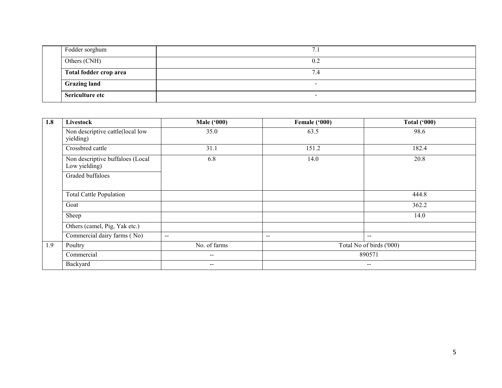|  | Fodder sorghum         | . .                      |
|--|------------------------|--------------------------|
|  | Others (CNH)           | 0.2                      |
|  | Total fodder crop area | 7.4                      |
|  | <b>Grazing land</b>    | $\overline{\phantom{0}}$ |
|  | Sericulture etc        | $\overline{\phantom{0}}$ |

| 1.8 | Livestock                                         | <b>Male ('000)</b>       | Female ('000) | <b>Total ('000)</b>      |
|-----|---------------------------------------------------|--------------------------|---------------|--------------------------|
|     | Non descriptive cattle(local low<br>yielding)     | 35.0                     | 63.5          | 98.6                     |
|     | Crossbred cattle                                  | 31.1                     | 151.2         | 182.4                    |
|     | Non descriptive buffaloes (Local<br>Low yielding) | 6.8                      | 14.0          | 20.8                     |
|     | Graded buffaloes                                  |                          |               |                          |
|     | Total Cattle Population                           |                          |               | 444.8                    |
|     | Goat                                              |                          |               | 362.2                    |
|     | Sheep                                             |                          |               | 14.0                     |
|     | Others (camel, Pig, Yak etc.)                     |                          |               |                          |
|     | Commercial dairy farms (No)                       | $\overline{\phantom{m}}$ | --            | $-\!$ $-$                |
| 1.9 | Poultry                                           | No. of farms             |               | Total No of birds ('000) |
|     | Commercial                                        | --                       |               | 890571                   |
|     | Backyard                                          | --                       |               | $\overline{\phantom{m}}$ |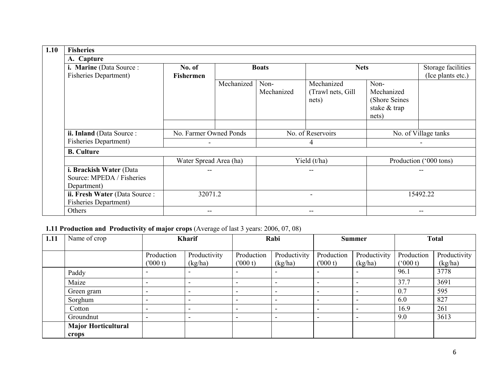| <b>Fisheries</b>                                                    |                            |                                             |                    |                                           |                                                               |                        |  |
|---------------------------------------------------------------------|----------------------------|---------------------------------------------|--------------------|-------------------------------------------|---------------------------------------------------------------|------------------------|--|
| A. Capture                                                          |                            |                                             |                    |                                           |                                                               |                        |  |
| i. Marine (Data Source:<br><b>Fisheries Department)</b>             | No. of<br><b>Fishermen</b> | <b>Boats</b>                                |                    |                                           | <b>Nets</b>                                                   |                        |  |
|                                                                     |                            | Mechanized                                  | Non-<br>Mechanized | Mechanized<br>(Trawl nets, Gill)<br>nets) | Non-<br>Mechanized<br>(Shore Seines)<br>stake & trap<br>nets) |                        |  |
| ii. Inland (Data Source:                                            |                            | No. Farmer Owned Ponds<br>No. of Reservoirs |                    |                                           | No. of Village tanks                                          |                        |  |
| <b>Fisheries Department</b> )                                       |                            |                                             |                    | 4                                         |                                                               |                        |  |
| <b>B.</b> Culture                                                   |                            |                                             |                    |                                           |                                                               |                        |  |
|                                                                     | Water Spread Area (ha)     |                                             |                    | Yield (t/ha)                              |                                                               | Production ('000 tons) |  |
| i. Brackish Water (Data<br>Source: MPEDA / Fisheries<br>Department) |                            |                                             |                    | --                                        |                                                               | --                     |  |
| ii. Fresh Water (Data Source:<br><b>Fisheries Department)</b>       | 32071.2                    |                                             |                    | -                                         |                                                               | 15492.22               |  |
| Others                                                              |                            |                                             |                    |                                           |                                                               | --                     |  |

## 1.11 Production and Productivity of major crops (Average of last 3 years: 2006, 07, 08)

| 1.11 | Name of crop                        | <b>Kharif</b>            |                          |                          | Rabi                     |                          | <b>Summer</b>            |                       | <b>Total</b>            |  |
|------|-------------------------------------|--------------------------|--------------------------|--------------------------|--------------------------|--------------------------|--------------------------|-----------------------|-------------------------|--|
|      |                                     | Production<br>(000 t)    | Productivity<br>(kg/ha)  | Production<br>(000 t)    | Productivity<br>(kg/ha)  | Production<br>(000 t)    | Productivity<br>(kg/ha)  | Production<br>(000 t) | Productivity<br>(kg/ha) |  |
|      | Paddy                               |                          | -                        | $\overline{\phantom{a}}$ | $\overline{\phantom{0}}$ | $\overline{\phantom{a}}$ | $\overline{\phantom{0}}$ | 96.1                  | 3778                    |  |
|      | Maize                               |                          |                          | $\overline{\phantom{0}}$ | $\overline{\phantom{0}}$ | $\overline{\phantom{0}}$ | $\overline{\phantom{0}}$ | 37.7                  | 3691                    |  |
|      | Green gram                          | $\overline{\phantom{a}}$ | $\overline{\phantom{0}}$ | $\overline{\phantom{a}}$ | $\overline{\phantom{a}}$ | $\overline{\phantom{a}}$ | $\overline{\phantom{a}}$ | 0.7                   | 595                     |  |
|      | Sorghum                             |                          | $\overline{\phantom{0}}$ | $\overline{\phantom{a}}$ | $\overline{\phantom{a}}$ | $\overline{\phantom{a}}$ | $\overline{\phantom{a}}$ | 6.0                   | 827                     |  |
|      | Cotton                              | $\overline{\phantom{0}}$ | $\overline{\phantom{0}}$ | $\overline{\phantom{a}}$ | $\overline{\phantom{a}}$ | $\overline{\phantom{a}}$ | $\sim$                   | 16.9                  | 261                     |  |
|      | Groundnut                           | $\overline{\phantom{0}}$ | $\overline{\phantom{0}}$ | $\overline{\phantom{a}}$ | $\overline{\phantom{a}}$ | $\overline{\phantom{a}}$ | $\sim$                   | 9.0                   | 3613                    |  |
|      | <b>Major Horticultural</b><br>crops |                          |                          |                          |                          |                          |                          |                       |                         |  |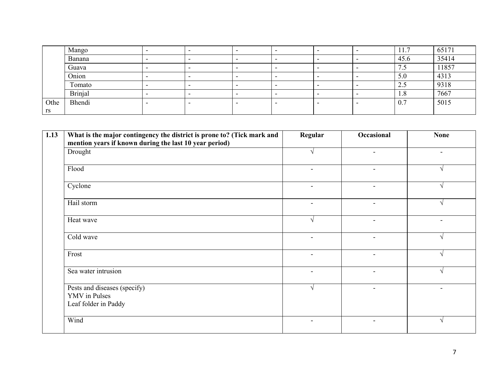|      | Mango          |                          |                          |                          |   | 11.7                  | 65171 |
|------|----------------|--------------------------|--------------------------|--------------------------|---|-----------------------|-------|
|      | Banana         |                          |                          |                          |   | 45.6                  | 35414 |
|      | Guava          | $\overline{\phantom{0}}$ | $\overline{\phantom{0}}$ | $\overline{\phantom{0}}$ | - | $\overline{ }$<br>7.5 | 11857 |
|      | Onion          |                          |                          | $\overline{\phantom{a}}$ |   | 5.0                   | 4313  |
|      | Tomato         |                          |                          |                          |   | 2.5                   | 9318  |
|      | <b>Brinjal</b> |                          |                          | $\overline{\phantom{0}}$ | - | 1.8                   | 7667  |
| Othe | Bhendi         |                          |                          |                          |   | 0.7                   | 5015  |
| rs   |                |                          |                          |                          |   |                       |       |

| 1.13 | What is the major contingency the district is prone to? (Tick mark and<br>mention years if known during the last 10 year period) | Regular                  | Occasional               | <b>None</b>              |
|------|----------------------------------------------------------------------------------------------------------------------------------|--------------------------|--------------------------|--------------------------|
|      | Drought                                                                                                                          |                          | $\overline{\phantom{a}}$ | $\blacksquare$           |
|      | Flood                                                                                                                            | $\overline{\phantom{a}}$ | $\overline{\phantom{a}}$ |                          |
|      | Cyclone                                                                                                                          | $\overline{\phantom{a}}$ | $\overline{\phantom{a}}$ |                          |
|      | Hail storm                                                                                                                       | $\overline{\phantom{a}}$ | $\blacksquare$           |                          |
|      | Heat wave                                                                                                                        | $\sqrt{ }$               |                          |                          |
|      | Cold wave                                                                                                                        | $\overline{\phantom{a}}$ |                          |                          |
|      | Frost                                                                                                                            | $\blacksquare$           | $\overline{\phantom{0}}$ |                          |
|      | Sea water intrusion                                                                                                              | $\overline{\phantom{a}}$ | $\overline{\phantom{0}}$ |                          |
|      | Pests and diseases (specify)<br><b>YMV</b> in Pulses<br>Leaf folder in Paddy                                                     | $\mathcal{N}$            | $\overline{\phantom{0}}$ | $\overline{\phantom{0}}$ |
|      | Wind                                                                                                                             | $\overline{\phantom{a}}$ | -                        |                          |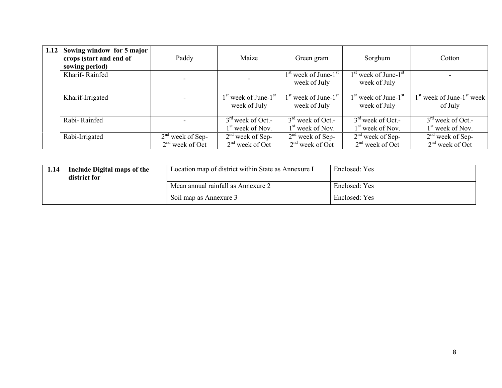| 1.12 | Sowing window for 5 major<br>crops (start and end of<br>sowing period) | Paddy                                   | Maize                                               | Green gram                                | Sorghum                                   | Cotton                                    |
|------|------------------------------------------------------------------------|-----------------------------------------|-----------------------------------------------------|-------------------------------------------|-------------------------------------------|-------------------------------------------|
|      | Kharif-Rainfed                                                         |                                         |                                                     | $1st$ week of June- $1st$<br>week of July | $1st$ week of June- $1st$<br>week of July |                                           |
|      | Kharif-Irrigated                                                       |                                         | $1st$ week of June- $1st$<br>week of July           | $1st$ week of June- $1st$<br>week of July | $1st$ week of June- $1st$<br>week of July | $1st$ week of June- $1st$ week<br>of July |
|      | Rabi-Rainfed                                                           |                                         | $3rd$ week of Oct.-<br>1 <sup>st</sup> week of Nov. | $3rd$ week of Oct.-<br>$1st$ week of Nov. | $3rd$ week of Oct.-<br>$1st$ week of Nov. | $3rd$ week of Oct.-<br>$1st$ week of Nov. |
|      | Rabi-Irrigated                                                         | $2nd$ week of Sep-<br>$2nd$ week of Oct | $2nd$ week of Sep-<br>$2nd$ week of Oct             | $2nd$ week of Sep-<br>$2nd$ week of Oct   | $2nd$ week of Sep-<br>$2nd$ week of Oct   | $2nd$ week of Sep-<br>$2nd$ week of Oct   |

| 1.14 | <b>Include Digital maps of the</b><br>district for | Location map of district within State as Annexure I | Enclosed: Yes |
|------|----------------------------------------------------|-----------------------------------------------------|---------------|
|      |                                                    | Mean annual rainfall as Annexure 2                  | Enclosed: Yes |
|      |                                                    | Soil map as Annexure 3                              | Enclosed: Yes |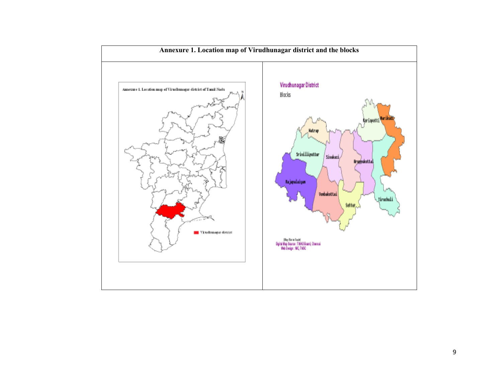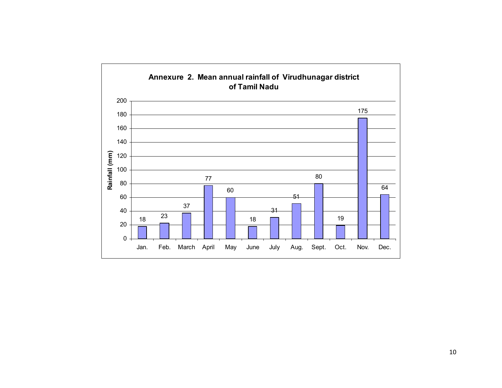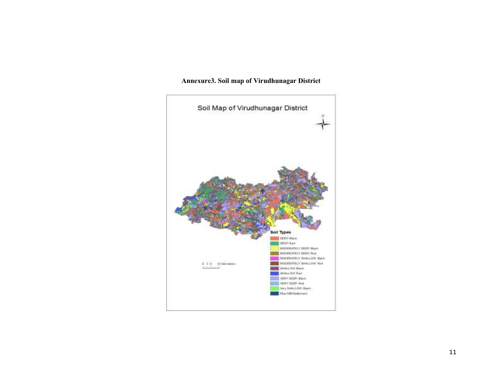

#### Annexure3. Soil map of Virudhunagar District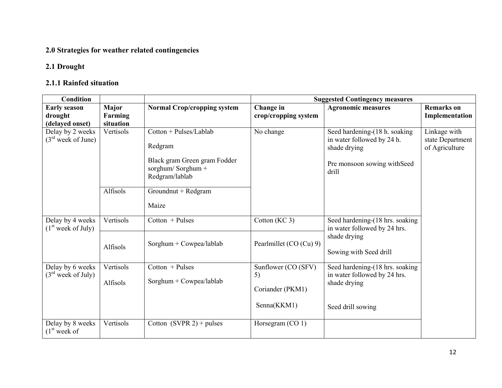### 2.0 Strategies for weather related contingencies

## 2.1 Drought

## 2.1.1 Rainfed situation

| <b>Condition</b>                                   |                  |                                                                                                          | <b>Suggested Contingency measures</b> |                                                                                                                      |                                                    |
|----------------------------------------------------|------------------|----------------------------------------------------------------------------------------------------------|---------------------------------------|----------------------------------------------------------------------------------------------------------------------|----------------------------------------------------|
| <b>Early season</b><br>drought                     | Major<br>Farming | <b>Normal Crop/cropping system</b>                                                                       | Change in<br>crop/cropping system     | <b>Agronomic measures</b>                                                                                            | <b>Remarks</b> on<br>Implementation                |
| (delayed onset)                                    | situation        |                                                                                                          |                                       |                                                                                                                      |                                                    |
| Delay by 2 weeks<br>$(3rd$ week of June)           | Vertisols        | Cotton + Pulses/Lablab<br>Redgram<br>Black gram Green gram Fodder<br>sorghum/Sorghum +<br>Redgram/lablab | No change                             | Seed hardening-(18 h. soaking<br>in water followed by 24 h.<br>shade drying<br>Pre monsoon sowing with Seed<br>drill | Linkage with<br>state Department<br>of Agriculture |
|                                                    | Alfisols         | Groundnut + Redgram<br>Maize                                                                             |                                       |                                                                                                                      |                                                    |
| Delay by 4 weeks<br>(1 <sup>st</sup> week of July) | Vertisols        | $Cottom$ + Pulses                                                                                        | Cotton (KC 3)                         | Seed hardening-(18 hrs. soaking<br>in water followed by 24 hrs.                                                      |                                                    |
|                                                    | Alfisols         | Sorghum + $Cowpea/lablab$                                                                                | Pearlmillet (CO (Cu) 9)               | shade drying<br>Sowing with Seed drill                                                                               |                                                    |
| Delay by 6 weeks                                   | Vertisols        | $Cottom$ + Pulses                                                                                        | Sunflower (CO (SFV)                   | Seed hardening-(18 hrs. soaking                                                                                      |                                                    |
| $(3rd$ week of July)                               | Alfisols         | $Sorghum + Cowpea/lablab$                                                                                | 5)<br>Coriander (PKM1)                | in water followed by 24 hrs.<br>shade drying                                                                         |                                                    |
|                                                    |                  |                                                                                                          | Senna(KKM1)                           | Seed drill sowing                                                                                                    |                                                    |
| Delay by 8 weeks<br>(1 <sup>st</sup> week of       | Vertisols        | Cotton $(SVPR 2)$ + pulses                                                                               | Horsegram (CO 1)                      |                                                                                                                      |                                                    |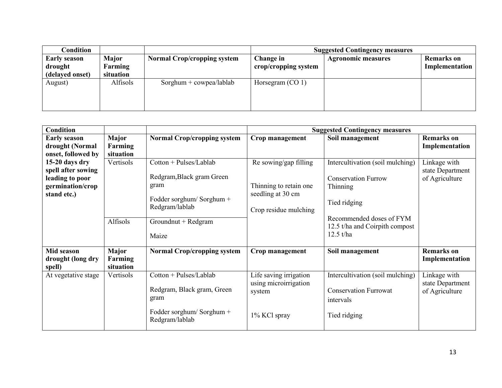| Condition                                         |                               |                                    | <b>Suggested Contingency measures</b> |                           |                                     |
|---------------------------------------------------|-------------------------------|------------------------------------|---------------------------------------|---------------------------|-------------------------------------|
| <b>Early season</b><br>drought<br>(delayed onset) | Major<br>Farming<br>situation | <b>Normal Crop/cropping system</b> | Change in<br>crop/cropping system     | <b>Agronomic measures</b> | <b>Remarks</b> on<br>Implementation |
| August)                                           | Alfisols                      | $Sorghum + cowpea/lablab$          | Horsegram $(CO 1)$                    |                           |                                     |

| <b>Condition</b>                                                                           |                                      |                                                                                                                                           | <b>Suggested Contingency measures</b>                                                         |                                                                                                                                                                                              |                                                    |  |
|--------------------------------------------------------------------------------------------|--------------------------------------|-------------------------------------------------------------------------------------------------------------------------------------------|-----------------------------------------------------------------------------------------------|----------------------------------------------------------------------------------------------------------------------------------------------------------------------------------------------|----------------------------------------------------|--|
| <b>Early season</b><br>drought (Normal<br>onset, followed by                               | Major<br>Farming<br>situation        | <b>Normal Crop/cropping system</b>                                                                                                        | Crop management                                                                               | Soil management                                                                                                                                                                              | <b>Remarks</b> on<br>Implementation                |  |
| 15-20 days dry<br>spell after sowing<br>leading to poor<br>germination/crop<br>stand etc.) | Vertisols<br>Alfisols                | Cotton + Pulses/Lablab<br>Redgram, Black gram Green<br>gram<br>Fodder sorghum/Sorghum +<br>Redgram/lablab<br>Groundnut + Redgram<br>Maize | Re sowing/gap filling<br>Thinning to retain one<br>seedling at 30 cm<br>Crop residue mulching | Intercultivation (soil mulching)<br><b>Conservation Furrow</b><br>Thinning<br>Tied ridging<br>Recommended doses of FYM<br>12.5 t/ha and Coirpith compost<br>$12.5 \frac{\text{t}}{\text{h}}$ | Linkage with<br>state Department<br>of Agriculture |  |
| Mid season<br>drought (long dry<br>spell)                                                  | <b>Major</b><br>Farming<br>situation | <b>Normal Crop/cropping system</b>                                                                                                        | Crop management                                                                               | Soil management                                                                                                                                                                              | <b>Remarks</b> on<br>Implementation                |  |
| At vegetative stage                                                                        | Vertisols                            | Cotton + Pulses/Lablab<br>Redgram, Black gram, Green<br>gram<br>Fodder sorghum/Sorghum +<br>Redgram/lablab                                | Life saving irrigation<br>using microirrigation<br>system<br>1% KCl spray                     | Intercultivation (soil mulching)<br><b>Conservation Furrowat</b><br>intervals<br>Tied ridging                                                                                                | Linkage with<br>state Department<br>of Agriculture |  |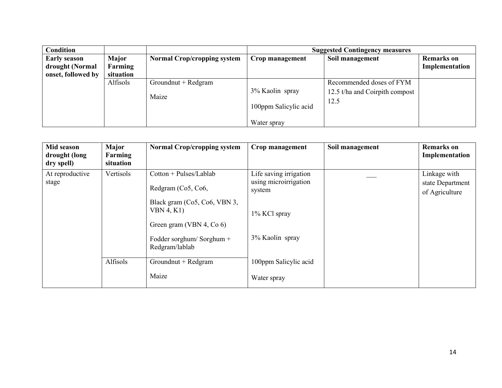| <b>Condition</b>                       |                         |                                    | <b>Suggested Contingency measures</b>                   |                                                                    |                                     |
|----------------------------------------|-------------------------|------------------------------------|---------------------------------------------------------|--------------------------------------------------------------------|-------------------------------------|
| <b>Early season</b><br>drought (Normal | <b>Major</b><br>Farming | <b>Normal Crop/cropping system</b> | Crop management                                         | Soil management                                                    | <b>Remarks</b> on<br>Implementation |
| onset, followed by                     | situation<br>Alfisols   | Groundnut + Redgram<br>Maize       | 3% Kaolin spray<br>100ppm Salicylic acid<br>Water spray | Recommended doses of FYM<br>12.5 t/ha and Coirpith compost<br>12.5 |                                     |

| Mid season<br>drought (long<br>dry spell) | Major<br>Farming<br>situation | <b>Normal Crop/cropping system</b>                                     | Crop management                                           | Soil management | <b>Remarks</b> on<br>Implementation                |
|-------------------------------------------|-------------------------------|------------------------------------------------------------------------|-----------------------------------------------------------|-----------------|----------------------------------------------------|
| At reproductive<br>stage                  | Vertisols                     | Cotton + Pulses/Lablab<br>Redgram (Co <sub>5</sub> , Co <sub>6</sub> , | Life saving irrigation<br>using microirrigation<br>system |                 | Linkage with<br>state Department<br>of Agriculture |
|                                           |                               | Black gram (Co5, Co6, VBN 3,<br>VBN 4, K1)<br>Green gram (VBN 4, Co 6) | 1% KCl spray                                              |                 |                                                    |
|                                           |                               | Fodder sorghum/Sorghum +<br>Redgram/lablab                             | 3% Kaolin spray                                           |                 |                                                    |
|                                           | Alfisols                      | Groundnut + Redgram                                                    | 100ppm Salicylic acid                                     |                 |                                                    |
|                                           |                               | Maize                                                                  | Water spray                                               |                 |                                                    |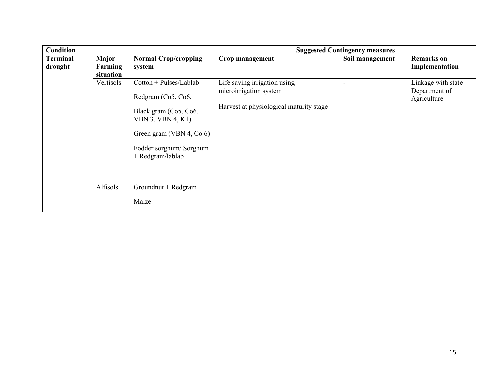| <b>Condition</b>           |                               |                                                                                                                                                                        | <b>Suggested Contingency measures</b>                                                             |                 |                                                    |  |
|----------------------------|-------------------------------|------------------------------------------------------------------------------------------------------------------------------------------------------------------------|---------------------------------------------------------------------------------------------------|-----------------|----------------------------------------------------|--|
| <b>Terminal</b><br>drought | Major<br>Farming<br>situation | <b>Normal Crop/cropping</b><br>system                                                                                                                                  | Crop management                                                                                   | Soil management | <b>Remarks</b> on<br>Implementation                |  |
|                            | Vertisols                     | $Cottom + Pulses/Lablab$<br>Redgram (Co5, Co6,<br>Black gram (Co5, Co6,<br>VBN 3, VBN 4, K1)<br>Green gram (VBN 4, Co 6)<br>Fodder sorghum/Sorghum<br>+ Redgram/lablab | Life saving irrigation using<br>microirrigation system<br>Harvest at physiological maturity stage |                 | Linkage with state<br>Department of<br>Agriculture |  |
|                            | Alfisols                      | Groundnut + Redgram<br>Maize                                                                                                                                           |                                                                                                   |                 |                                                    |  |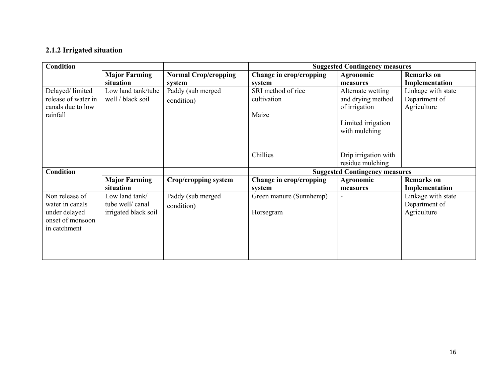#### 2.1.2 Irrigated situation

| <b>Condition</b>    |                      |                             | <b>Suggested Contingency measures</b> |                                       |                    |
|---------------------|----------------------|-----------------------------|---------------------------------------|---------------------------------------|--------------------|
|                     | <b>Major Farming</b> | <b>Normal Crop/cropping</b> | Change in crop/cropping               | Agronomic                             | <b>Remarks</b> on  |
|                     | situation            | system                      | system                                | measures                              | Implementation     |
| Delayed/limited     | Low land tank/tube   | Paddy (sub merged           | SRI method of rice                    | Alternate wetting                     | Linkage with state |
| release of water in | well / black soil    | condition)                  | cultivation                           | and drying method                     | Department of      |
| canals due to low   |                      |                             |                                       | of irrigation                         | Agriculture        |
| rainfall            |                      |                             | Maize                                 |                                       |                    |
|                     |                      |                             |                                       | Limited irrigation                    |                    |
|                     |                      |                             |                                       | with mulching                         |                    |
|                     |                      |                             |                                       |                                       |                    |
|                     |                      |                             |                                       |                                       |                    |
|                     |                      |                             | Chillies                              | Drip irrigation with                  |                    |
|                     |                      |                             |                                       | residue mulching                      |                    |
| <b>Condition</b>    |                      |                             |                                       | <b>Suggested Contingency measures</b> |                    |
|                     | <b>Major Farming</b> | <b>Crop/cropping system</b> | Change in crop/cropping               | Agronomic                             | <b>Remarks</b> on  |
|                     | situation            |                             | system                                | measures                              | Implementation     |
| Non release of      | Low land tank/       | Paddy (sub merged           | Green manure (Sunnhemp)               |                                       | Linkage with state |
| water in canals     | tube well/canal      | condition)                  |                                       |                                       | Department of      |
| under delayed       | irrigated black soil |                             | Horsegram                             |                                       | Agriculture        |
| onset of monsoon    |                      |                             |                                       |                                       |                    |
| in catchment        |                      |                             |                                       |                                       |                    |
|                     |                      |                             |                                       |                                       |                    |
|                     |                      |                             |                                       |                                       |                    |
|                     |                      |                             |                                       |                                       |                    |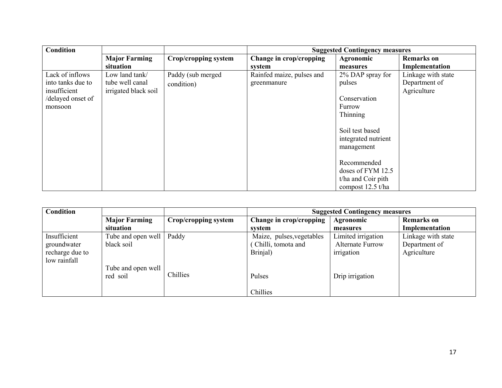| <b>Condition</b>  |                      |                      | <b>Suggested Contingency measures</b> |                     |                    |
|-------------------|----------------------|----------------------|---------------------------------------|---------------------|--------------------|
|                   | <b>Major Farming</b> | Crop/cropping system | Change in crop/cropping               | Agronomic           | <b>Remarks</b> on  |
|                   | situation            |                      | system                                | measures            | Implementation     |
| Lack of inflows   | Low land tank/       | Paddy (sub merged    | Rainfed maize, pulses and             | 2% DAP spray for    | Linkage with state |
| into tanks due to | tube well canal      | condition)           | greenmanure                           | pulses              | Department of      |
| insufficient      | irrigated black soil |                      |                                       |                     | Agriculture        |
| /delayed onset of |                      |                      |                                       | Conservation        |                    |
| monsoon           |                      |                      |                                       | Furrow              |                    |
|                   |                      |                      |                                       | Thinning            |                    |
|                   |                      |                      |                                       |                     |                    |
|                   |                      |                      |                                       | Soil test based     |                    |
|                   |                      |                      |                                       | integrated nutrient |                    |
|                   |                      |                      |                                       | management          |                    |
|                   |                      |                      |                                       |                     |                    |
|                   |                      |                      |                                       | Recommended         |                    |
|                   |                      |                      |                                       | doses of FYM 12.5   |                    |
|                   |                      |                      |                                       | t/ha and Coir pith  |                    |
|                   |                      |                      |                                       | compost 12.5 t/ha   |                    |

| Condition       |                      |                      | <b>Suggested Contingency measures</b> |                         |                    |
|-----------------|----------------------|----------------------|---------------------------------------|-------------------------|--------------------|
|                 | <b>Major Farming</b> | Crop/cropping system | Change in crop/cropping               | <b>Agronomic</b>        | <b>Remarks</b> on  |
|                 | situation            |                      | svstem                                | measures                | Implementation     |
| Insufficient    | Tube and open well   | Paddy                | Maize, pulses, vegetables             | Limited irrigation      | Linkage with state |
| groundwater     | black soil           |                      | Chilli, tomota and                    | <b>Alternate Furrow</b> | Department of      |
| recharge due to |                      |                      | Brinjal)                              | irrigation              | Agriculture        |
| low rainfall    |                      |                      |                                       |                         |                    |
|                 | Tube and open well   |                      |                                       |                         |                    |
|                 | red soil             | Chillies             | Pulses                                | Drip irrigation         |                    |
|                 |                      |                      |                                       |                         |                    |
|                 |                      |                      | Chillies                              |                         |                    |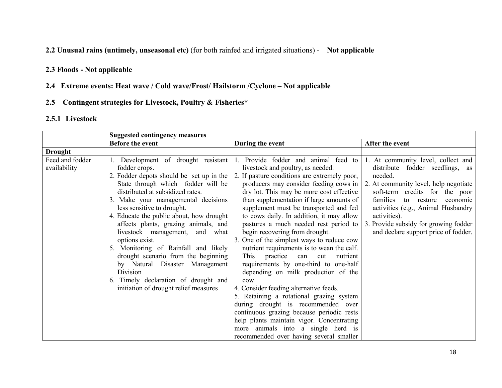2.2 Unusual rains (untimely, unseasonal etc) (for both rainfed and irrigated situations) - Not applicable

#### 2.3 Floods - Not applicable

#### 2.4 Extreme events: Heat wave / Cold wave/Frost/ Hailstorm /Cyclone – Not applicable

# 2.5 Contingent strategies for Livestock, Poultry & Fisheries\*

## 2.5.1 Livestock

|                                 | <b>Suggested contingency measures</b>                                                                                                                                                                                                                                                                                                                                                                                                                                                                                                                                                              |                                                                                                                                                                                                                                                                                                                                                                                                                                                                                                                                                                                                                                                                                                                                                                                                                                                                                                                                                             |                                                                                                                                                                                                                                                                                                                                          |
|---------------------------------|----------------------------------------------------------------------------------------------------------------------------------------------------------------------------------------------------------------------------------------------------------------------------------------------------------------------------------------------------------------------------------------------------------------------------------------------------------------------------------------------------------------------------------------------------------------------------------------------------|-------------------------------------------------------------------------------------------------------------------------------------------------------------------------------------------------------------------------------------------------------------------------------------------------------------------------------------------------------------------------------------------------------------------------------------------------------------------------------------------------------------------------------------------------------------------------------------------------------------------------------------------------------------------------------------------------------------------------------------------------------------------------------------------------------------------------------------------------------------------------------------------------------------------------------------------------------------|------------------------------------------------------------------------------------------------------------------------------------------------------------------------------------------------------------------------------------------------------------------------------------------------------------------------------------------|
|                                 | <b>Before the event</b>                                                                                                                                                                                                                                                                                                                                                                                                                                                                                                                                                                            | During the event                                                                                                                                                                                                                                                                                                                                                                                                                                                                                                                                                                                                                                                                                                                                                                                                                                                                                                                                            | After the event                                                                                                                                                                                                                                                                                                                          |
| <b>Drought</b>                  |                                                                                                                                                                                                                                                                                                                                                                                                                                                                                                                                                                                                    |                                                                                                                                                                                                                                                                                                                                                                                                                                                                                                                                                                                                                                                                                                                                                                                                                                                                                                                                                             |                                                                                                                                                                                                                                                                                                                                          |
| Feed and fodder<br>availability | Development of drought resistant<br>fodder crops.<br>2. Fodder depots should be set up in the<br>State through which fodder will be<br>distributed at subsidized rates.<br>3. Make your managemental decisions<br>less sensitive to drought.<br>4. Educate the public about, how drought<br>affects plants, grazing animals, and<br>livestock management, and what<br>options exist.<br>5. Monitoring of Rainfall and likely<br>drought scenario from the beginning<br>by Natural Disaster Management<br>Division<br>6. Timely declaration of drought and<br>initiation of drought relief measures | Provide fodder and animal feed to<br>livestock and poultry, as needed.<br>2. If pasture conditions are extremely poor,<br>producers may consider feeding cows in<br>dry lot. This may be more cost effective<br>than supplementation if large amounts of<br>supplement must be transported and fed<br>to cows daily. In addition, it may allow<br>pastures a much needed rest period to<br>begin recovering from drought.<br>3. One of the simplest ways to reduce cow<br>nutrient requirements is to wean the calf.<br>This practice can<br>cut<br>nutrient<br>requirements by one-third to one-half<br>depending on milk production of the<br>cow.<br>4. Consider feeding alternative feeds.<br>5. Retaining a rotational grazing system<br>during drought is recommended over<br>continuous grazing because periodic rests<br>help plants maintain vigor. Concentrating<br>more animals into a single herd is<br>recommended over having several smaller | 1. At community level, collect and<br>distribute fodder seedlings, as<br>needed.<br>2. At community level, help negotiate<br>soft-term credits for the poor<br>families<br>to restore<br>economic<br>activities (e.g., Animal Husbandry<br>activities).<br>3. Provide subsidy for growing fodder<br>and declare support price of fodder. |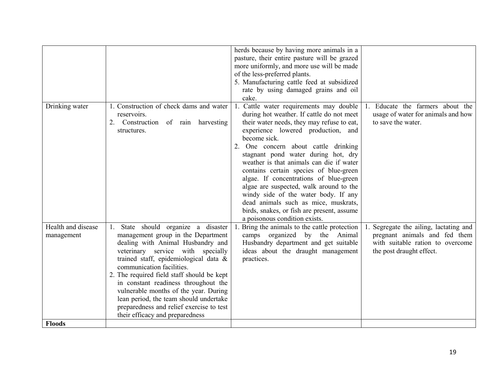|                                  |                                                                                                             | herds because by having more animals in a                                                                                                                                   |                                                                                              |
|----------------------------------|-------------------------------------------------------------------------------------------------------------|-----------------------------------------------------------------------------------------------------------------------------------------------------------------------------|----------------------------------------------------------------------------------------------|
|                                  |                                                                                                             | pasture, their entire pasture will be grazed                                                                                                                                |                                                                                              |
|                                  |                                                                                                             | more uniformly, and more use will be made                                                                                                                                   |                                                                                              |
|                                  |                                                                                                             | of the less-preferred plants.                                                                                                                                               |                                                                                              |
|                                  |                                                                                                             | 5. Manufacturing cattle feed at subsidized                                                                                                                                  |                                                                                              |
|                                  |                                                                                                             | rate by using damaged grains and oil                                                                                                                                        |                                                                                              |
|                                  |                                                                                                             | cake.                                                                                                                                                                       |                                                                                              |
| Drinking water                   | 1. Construction of check dams and water<br>reservoirs.<br>2. Construction of rain harvesting<br>structures. | Cattle water requirements may double<br>1.<br>during hot weather. If cattle do not meet<br>their water needs, they may refuse to eat,<br>experience lowered production, and | 1. Educate the farmers about the<br>usage of water for animals and how<br>to save the water. |
|                                  |                                                                                                             | become sick.                                                                                                                                                                |                                                                                              |
|                                  |                                                                                                             | One concern about cattle drinking<br>2.                                                                                                                                     |                                                                                              |
|                                  |                                                                                                             | stagnant pond water during hot, dry                                                                                                                                         |                                                                                              |
|                                  |                                                                                                             | weather is that animals can die if water                                                                                                                                    |                                                                                              |
|                                  |                                                                                                             | contains certain species of blue-green                                                                                                                                      |                                                                                              |
|                                  |                                                                                                             | algae. If concentrations of blue-green                                                                                                                                      |                                                                                              |
|                                  |                                                                                                             | algae are suspected, walk around to the                                                                                                                                     |                                                                                              |
|                                  |                                                                                                             | windy side of the water body. If any                                                                                                                                        |                                                                                              |
|                                  |                                                                                                             | dead animals such as mice, muskrats,                                                                                                                                        |                                                                                              |
|                                  |                                                                                                             | birds, snakes, or fish are present, assume                                                                                                                                  |                                                                                              |
|                                  |                                                                                                             | a poisonous condition exists.                                                                                                                                               |                                                                                              |
| Health and disease<br>management | State should organize a disaster<br>management group in the Department                                      | Bring the animals to the cattle protection<br>camps organized by the Animal                                                                                                 | Segregate the ailing, lactating and<br>pregnant animals and fed them                         |
|                                  | dealing with Animal Husbandry and                                                                           | Husbandry department and get suitable                                                                                                                                       | with suitable ration to overcome                                                             |
|                                  | veterinary service with specially                                                                           | ideas about the draught management                                                                                                                                          | the post draught effect.                                                                     |
|                                  | trained staff, epidemiological data &                                                                       | practices.                                                                                                                                                                  |                                                                                              |
|                                  | communication facilities.                                                                                   |                                                                                                                                                                             |                                                                                              |
|                                  | 2. The required field staff should be kept                                                                  |                                                                                                                                                                             |                                                                                              |
|                                  | in constant readiness throughout the                                                                        |                                                                                                                                                                             |                                                                                              |
|                                  | vulnerable months of the year. During                                                                       |                                                                                                                                                                             |                                                                                              |
|                                  | lean period, the team should undertake                                                                      |                                                                                                                                                                             |                                                                                              |
|                                  | preparedness and relief exercise to test                                                                    |                                                                                                                                                                             |                                                                                              |
|                                  | their efficacy and preparedness                                                                             |                                                                                                                                                                             |                                                                                              |
| <b>Floods</b>                    |                                                                                                             |                                                                                                                                                                             |                                                                                              |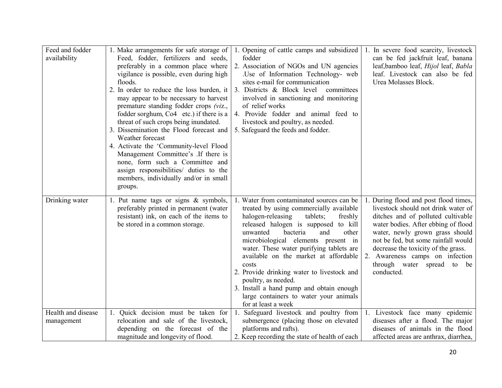| Feed and fodder    | 1. Make arrangements for safe storage of            | Opening of cattle camps and subsidized<br>1.                      | 1. In severe food scarcity, livestock    |
|--------------------|-----------------------------------------------------|-------------------------------------------------------------------|------------------------------------------|
| availability       | Feed, fodder, fertilizers and seeds,                | fodder                                                            | can be fed jackfruit leaf, banana        |
|                    | preferably in a common place where                  | 2. Association of NGOs and UN agencies                            | leaf, bamboo leaf, Hijol leaf, Babla     |
|                    | vigilance is possible, even during high             | Use of Information Technology- web                                | leaf. Livestock can also be fed          |
|                    | floods.                                             | sites e-mail for communication                                    | Urea Molasses Block.                     |
|                    | 2. In order to reduce the loss burden, it           | 3. Districts & Block level<br>committees                          |                                          |
|                    | may appear to be necessary to harvest               | involved in sanctioning and monitoring                            |                                          |
|                    | premature standing fodder crops (viz.,              | of relief works                                                   |                                          |
|                    | fodder sorghum, Co <sub>4</sub> etc.) if there is a | 4. Provide fodder and animal feed to                              |                                          |
|                    | threat of such crops being inundated.               | livestock and poultry, as needed.                                 |                                          |
|                    | 3. Dissemination the Flood forecast and             | 5. Safeguard the feeds and fodder.                                |                                          |
|                    | Weather forecast                                    |                                                                   |                                          |
|                    | 4. Activate the 'Community-level Flood              |                                                                   |                                          |
|                    | Management Committee's .If there is                 |                                                                   |                                          |
|                    | none, form such a Committee and                     |                                                                   |                                          |
|                    | assign responsibilities/ duties to the              |                                                                   |                                          |
|                    | members, individually and/or in small               |                                                                   |                                          |
|                    | groups.                                             |                                                                   |                                          |
| Drinking water     | 1. Put name tags or signs $\&$ symbols,             | 1. Water from contaminated sources can be                         | 1. During flood and post flood times,    |
|                    | preferably printed in permanent (water              | treated by using commercially available                           | livestock should not drink water of      |
|                    | resistant) ink, on each of the items to             | halogen-releasing<br>tablets;<br>freshly                          | ditches and of polluted cultivable       |
|                    | be stored in a common storage.                      | released halogen is supposed to kill                              | water bodies. After ebbing of flood      |
|                    |                                                     | unwanted<br>bacteria<br>and<br>other                              | water, newly grown grass should          |
|                    |                                                     | microbiological elements present in                               | not be fed, but some rainfall would      |
|                    |                                                     | water. These water purifying tablets are                          | decrease the toxicity of the grass.      |
|                    |                                                     | available on the market at affordable                             | 2. Awareness camps on infection          |
|                    |                                                     | costs                                                             | through water spread to be<br>conducted. |
|                    |                                                     | 2. Provide drinking water to livestock and<br>poultry, as needed. |                                          |
|                    |                                                     | 3. Install a hand pump and obtain enough                          |                                          |
|                    |                                                     | large containers to water your animals                            |                                          |
|                    |                                                     | for at least a week                                               |                                          |
| Health and disease | Quick decision must be taken for<br>1.              | Safeguard livestock and poultry from<br>1.                        | 1. Livestock face many epidemic          |
| management         | relocation and sale of the livestock,               | submergence (placing those on elevated                            | diseases after a flood. The major        |
|                    | depending on the forecast of the                    | platforms and rafts).                                             | diseases of animals in the flood         |
|                    | magnitude and longevity of flood.                   | 2. Keep recording the state of health of each                     | affected areas are anthrax, diarrhea,    |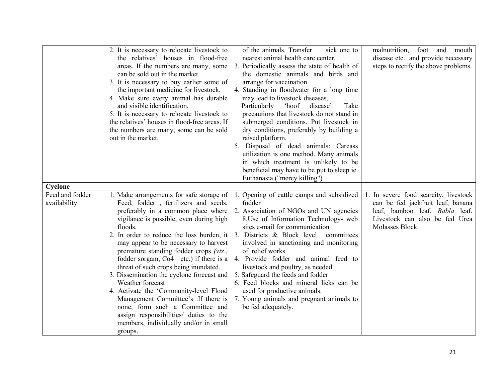|                                            | 2. It is necessary to relocate livestock to<br>the relatives' houses in flood-free<br>areas. If the numbers are many, some<br>can be sold out in the market.<br>3. It is necessary to buy earlier some of<br>the important medicine for livestock.<br>4. Make sure every animal has durable<br>and visible identification.<br>5. It is necessary to relocate livestock to<br>the relatives' houses in flood-free areas. If<br>the numbers are many, some can be sold<br>out in the market.                                                                                                                                                                                                     | of the animals. Transfer<br>sick one to<br>nearest animal health care center.<br>3. Periodically assess the state of health of<br>the domestic animals and birds and<br>arrange for vaccination.<br>4. Standing in floodwater for a long time<br>may lead to livestock diseases,<br>Particularly<br>'hoof<br>disease'.<br>Take<br>precautions that livestock do not stand in<br>submerged conditions. Put livestock in<br>dry conditions, preferably by building a<br>raised platform.<br>5. Disposal of dead animals: Carcass<br>utilization is one method. Many animals<br>in which treatment is unlikely to be<br>beneficial may have to be put to sleep ie.<br>Euthanasia ("mercy killing") | malnutrition, foot and mouth<br>disease etc and provide necessary<br>steps to rectify the above problems.                                                         |
|--------------------------------------------|------------------------------------------------------------------------------------------------------------------------------------------------------------------------------------------------------------------------------------------------------------------------------------------------------------------------------------------------------------------------------------------------------------------------------------------------------------------------------------------------------------------------------------------------------------------------------------------------------------------------------------------------------------------------------------------------|-------------------------------------------------------------------------------------------------------------------------------------------------------------------------------------------------------------------------------------------------------------------------------------------------------------------------------------------------------------------------------------------------------------------------------------------------------------------------------------------------------------------------------------------------------------------------------------------------------------------------------------------------------------------------------------------------|-------------------------------------------------------------------------------------------------------------------------------------------------------------------|
| Cyclone<br>Feed and fodder<br>availability | 1. Make arrangements for safe storage of<br>Feed, fodder, fertilizers and seeds,<br>preferably in a common place where<br>vigilance is possible, even during high<br>floods.<br>2. In order to reduce the loss burden, it<br>may appear to be necessary to harvest<br>premature standing fodder crops (viz.,<br>fodder sorgam, Co <sub>4</sub> etc.) if there is a<br>threat of such crops being inundated.<br>3. Dissemination the cyclone forecast and<br>Weather forecast<br>4. Activate the 'Community-level Flood<br>Management Committee's .If there is<br>none, form such a Committee and<br>assign responsibilities/ duties to the<br>members, individually and/or in small<br>groups. | Opening of cattle camps and subsidized<br>fodder<br>2. Association of NGOs and UN agencies<br>8. Use of Information Technology- web<br>sites e-mail for communication<br>3. Districts & Block level committees<br>involved in sanctioning and monitoring<br>of relief works<br>4. Provide fodder and animal feed to<br>livestock and poultry, as needed.<br>5. Safeguard the feeds and fodder<br>6. Feed blocks and mineral licks can be<br>used for productive animals.<br>7. Young animals and pregnant animals to<br>be fed adequately.                                                                                                                                                      | 1. In severe food scarcity, livestock<br>can be fed jackfruit leaf, banana<br>leaf, bamboo leaf, Babla leaf.<br>Livestock can also be fed Urea<br>Molasses Block. |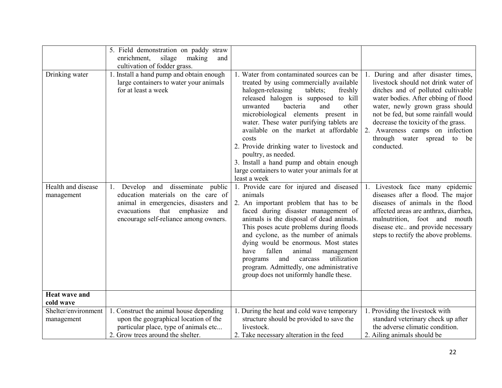|                                   | 5. Field demonstration on paddy straw<br>enrichment,<br>silage<br>making<br>and<br>cultivation of fodder grass.                                                                                                 |                                                                                                                                                                                                                                                                                                                                                                                                                                                                                                                                      |                                                                                                                                                                                                                                                                                                                                                         |
|-----------------------------------|-----------------------------------------------------------------------------------------------------------------------------------------------------------------------------------------------------------------|--------------------------------------------------------------------------------------------------------------------------------------------------------------------------------------------------------------------------------------------------------------------------------------------------------------------------------------------------------------------------------------------------------------------------------------------------------------------------------------------------------------------------------------|---------------------------------------------------------------------------------------------------------------------------------------------------------------------------------------------------------------------------------------------------------------------------------------------------------------------------------------------------------|
| Drinking water                    | 1. Install a hand pump and obtain enough<br>large containers to water your animals<br>for at least a week                                                                                                       | Water from contaminated sources can be<br>treated by using commercially available<br>halogen-releasing<br>tablets;<br>freshly<br>released halogen is supposed to kill<br>unwanted<br>bacteria<br>other<br>and<br>microbiological elements present in<br>water. These water purifying tablets are<br>available on the market at affordable<br>costs<br>2. Provide drinking water to livestock and<br>poultry, as needed.<br>3. Install a hand pump and obtain enough<br>large containers to water your animals for at<br>least a week | 1. During and after disaster times,<br>livestock should not drink water of<br>ditches and of polluted cultivable<br>water bodies. After ebbing of flood<br>water, newly grown grass should<br>not be fed, but some rainfall would<br>decrease the toxicity of the grass.<br>2. Awareness camps on infection<br>through water spread to be<br>conducted. |
| Health and disease<br>management  | disseminate<br>Develop<br>and<br>public<br>1.<br>education materials on the care of<br>animal in emergencies, disasters and<br>emphasize<br>evacuations<br>that<br>and<br>encourage self-reliance among owners. | 1. Provide care for injured and diseased<br>animals<br>2. An important problem that has to be<br>faced during disaster management of<br>animals is the disposal of dead animals.<br>This poses acute problems during floods<br>and cyclone, as the number of animals<br>dying would be enormous. Most states<br>fallen<br>animal<br>management<br>have<br>utilization<br>and<br>carcass<br>programs<br>program. Admittedly, one administrative<br>group does not uniformly handle these.                                             | 1. Livestock face many epidemic<br>diseases after a flood. The major<br>diseases of animals in the flood<br>affected areas are anthrax, diarrhea,<br>malnutrition, foot and mouth<br>disease etc and provide necessary<br>steps to rectify the above problems.                                                                                          |
| <b>Heat wave and</b><br>cold wave |                                                                                                                                                                                                                 |                                                                                                                                                                                                                                                                                                                                                                                                                                                                                                                                      |                                                                                                                                                                                                                                                                                                                                                         |
| Shelter/environment<br>management | 1. Construct the animal house depending<br>upon the geographical location of the<br>particular place, type of animals etc<br>2. Grow trees around the shelter.                                                  | 1. During the heat and cold wave temporary<br>structure should be provided to save the<br>livestock.<br>2. Take necessary alteration in the feed                                                                                                                                                                                                                                                                                                                                                                                     | 1. Providing the livestock with<br>standard veterinary check up after<br>the adverse climatic condition.<br>2. Ailing animals should be                                                                                                                                                                                                                 |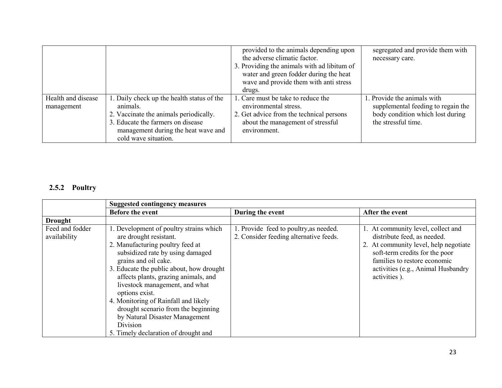|                                  |                                                                                                                                                                                                      | provided to the animals depending upon<br>the adverse climatic factor.<br>3. Providing the animals with ad libitum of<br>water and green fodder during the heat<br>wave and provide them with anti stress<br>drugs. | segregated and provide them with<br>necessary care.                                                                          |
|----------------------------------|------------------------------------------------------------------------------------------------------------------------------------------------------------------------------------------------------|---------------------------------------------------------------------------------------------------------------------------------------------------------------------------------------------------------------------|------------------------------------------------------------------------------------------------------------------------------|
| Health and disease<br>management | 1. Daily check up the health status of the<br>animals.<br>2. Vaccinate the animals periodically.<br>3. Educate the farmers on disease<br>management during the heat wave and<br>cold wave situation. | 1. Care must be take to reduce the<br>environmental stress.<br>2. Get advice from the technical persons<br>about the management of stressful<br>environment.                                                        | 1. Provide the animals with<br>supplemental feeding to regain the<br>body condition which lost during<br>the stressful time. |

# 2.5.2 Poultry

|                                 | <b>Suggested contingency measures</b>                                                                                                                                                                                                                                                                                                                                                                                                                                          |                                                                                  |                                                                                                                                                                                                                                    |  |
|---------------------------------|--------------------------------------------------------------------------------------------------------------------------------------------------------------------------------------------------------------------------------------------------------------------------------------------------------------------------------------------------------------------------------------------------------------------------------------------------------------------------------|----------------------------------------------------------------------------------|------------------------------------------------------------------------------------------------------------------------------------------------------------------------------------------------------------------------------------|--|
|                                 | <b>Before the event</b>                                                                                                                                                                                                                                                                                                                                                                                                                                                        | During the event                                                                 | After the event                                                                                                                                                                                                                    |  |
| <b>Drought</b>                  |                                                                                                                                                                                                                                                                                                                                                                                                                                                                                |                                                                                  |                                                                                                                                                                                                                                    |  |
| Feed and fodder<br>availability | 1. Development of poultry strains which<br>are drought resistant.<br>2. Manufacturing poultry feed at<br>subsidized rate by using damaged<br>grains and oil cake.<br>3. Educate the public about, how drought<br>affects plants, grazing animals, and<br>livestock management, and what<br>options exist.<br>4. Monitoring of Rainfall and likely<br>drought scenario from the beginning<br>by Natural Disaster Management<br>Division<br>5. Timely declaration of drought and | 1. Provide feed to poultry, as needed.<br>2. Consider feeding alternative feeds. | 1. At community level, collect and<br>distribute feed, as needed.<br>2. At community level, help negotiate<br>soft-term credits for the poor<br>families to restore economic<br>activities (e.g., Animal Husbandry<br>activities). |  |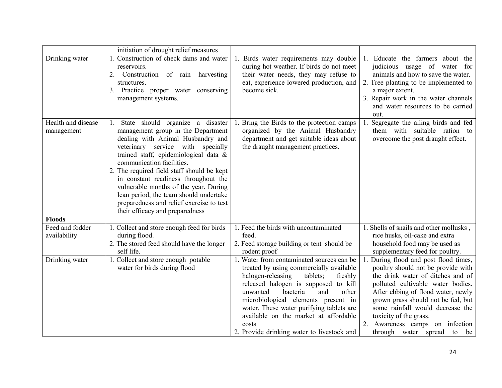|                                  | initiation of drought relief measures                                                                                                                                                                                                                                                                                                                                                                                                                                                   |                                                                                                                                                                                                                                                                                                                                                                                                     |                                                                                                                                                                                                                                                                                                                                                               |
|----------------------------------|-----------------------------------------------------------------------------------------------------------------------------------------------------------------------------------------------------------------------------------------------------------------------------------------------------------------------------------------------------------------------------------------------------------------------------------------------------------------------------------------|-----------------------------------------------------------------------------------------------------------------------------------------------------------------------------------------------------------------------------------------------------------------------------------------------------------------------------------------------------------------------------------------------------|---------------------------------------------------------------------------------------------------------------------------------------------------------------------------------------------------------------------------------------------------------------------------------------------------------------------------------------------------------------|
| Drinking water                   | 1. Construction of check dams and water<br>reservoirs.<br>2. Construction of rain harvesting<br>structures.<br>3. Practice proper water conserving<br>management systems.                                                                                                                                                                                                                                                                                                               | Birds water requirements may double<br>during hot weather. If birds do not meet<br>their water needs, they may refuse to<br>eat, experience lowered production, and<br>become sick.                                                                                                                                                                                                                 | 1. Educate the farmers about the<br>judicious usage of water for<br>animals and how to save the water.<br>2. Tree planting to be implemented to<br>a major extent.<br>3. Repair work in the water channels<br>and water resources to be carried<br>out.                                                                                                       |
| Health and disease<br>management | State should organize a disaster<br>1.<br>management group in the Department<br>dealing with Animal Husbandry and<br>veterinary service with specially<br>trained staff, epidemiological data $\&$<br>communication facilities.<br>2. The required field staff should be kept<br>in constant readiness throughout the<br>vulnerable months of the year. During<br>lean period, the team should undertake<br>preparedness and relief exercise to test<br>their efficacy and preparedness | Bring the Birds to the protection camps<br>organized by the Animal Husbandry<br>department and get suitable ideas about<br>the draught management practices.                                                                                                                                                                                                                                        | Segregate the ailing birds and fed<br>them with suitable ration to<br>overcome the post draught effect.                                                                                                                                                                                                                                                       |
| <b>Floods</b>                    |                                                                                                                                                                                                                                                                                                                                                                                                                                                                                         |                                                                                                                                                                                                                                                                                                                                                                                                     |                                                                                                                                                                                                                                                                                                                                                               |
| Feed and fodder<br>availability  | 1. Collect and store enough feed for birds<br>during flood.<br>2. The stored feed should have the longer<br>self life.                                                                                                                                                                                                                                                                                                                                                                  | 1. Feed the birds with uncontaminated<br>feed.<br>2. Feed storage building or tent should be<br>rodent proof                                                                                                                                                                                                                                                                                        | 1. Shells of snails and other mollusks,<br>rice husks, oil-cake and extra<br>household food may be used as<br>supplementary feed for poultry.                                                                                                                                                                                                                 |
| Drinking water                   | 1. Collect and store enough potable<br>water for birds during flood                                                                                                                                                                                                                                                                                                                                                                                                                     | 1. Water from contaminated sources can be<br>treated by using commercially available<br>halogen-releasing<br>tablets;<br>freshly<br>released halogen is supposed to kill<br>unwanted<br>bacteria<br>and<br>other<br>microbiological elements present in<br>water. These water purifying tablets are<br>available on the market at affordable<br>costs<br>2. Provide drinking water to livestock and | During flood and post flood times,<br>poultry should not be provide with<br>the drink water of ditches and of<br>polluted cultivable water bodies.<br>After ebbing of flood water, newly<br>grown grass should not be fed, but<br>some rainfall would decrease the<br>toxicity of the grass.<br>2. Awareness camps on infection<br>through water spread to be |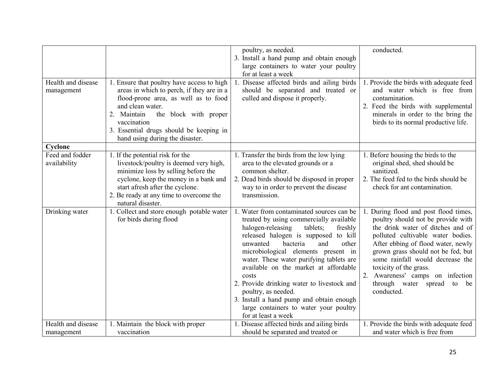| Health and disease              | 1. Ensure that poultry have access to high                                                                                                                                                                                                                    | poultry, as needed.<br>3. Install a hand pump and obtain enough<br>large containers to water your poultry<br>for at least a week<br>Disease affected birds and ailing birds                                                                                                                                                                                                                                                                                                                                                          | conducted.<br>1. Provide the birds with adequate feed                                                                                                                                                                                                                                                                                                                        |
|---------------------------------|---------------------------------------------------------------------------------------------------------------------------------------------------------------------------------------------------------------------------------------------------------------|--------------------------------------------------------------------------------------------------------------------------------------------------------------------------------------------------------------------------------------------------------------------------------------------------------------------------------------------------------------------------------------------------------------------------------------------------------------------------------------------------------------------------------------|------------------------------------------------------------------------------------------------------------------------------------------------------------------------------------------------------------------------------------------------------------------------------------------------------------------------------------------------------------------------------|
| management                      | areas in which to perch, if they are in a<br>flood-prone area, as well as to food<br>and clean water.<br>2. Maintain<br>the block with proper<br>vaccination<br>3. Essential drugs should be keeping in<br>hand using during the disaster.                    | should be separated and treated or<br>culled and dispose it properly.                                                                                                                                                                                                                                                                                                                                                                                                                                                                | and water which is free from<br>contamination.<br>2. Feed the birds with supplemental<br>minerals in order to the bring the<br>birds to its normal productive life.                                                                                                                                                                                                          |
| Cyclone                         |                                                                                                                                                                                                                                                               |                                                                                                                                                                                                                                                                                                                                                                                                                                                                                                                                      |                                                                                                                                                                                                                                                                                                                                                                              |
| Feed and fodder<br>availability | 1. If the potential risk for the<br>livestock/poultry is deemed very high,<br>minimize loss by selling before the<br>cyclone, keep the money in a bank and<br>start afresh after the cyclone.<br>2. Be ready at any time to overcome the<br>natural disaster. | 1. Transfer the birds from the low lying<br>area to the elevated grounds or a<br>common shelter.<br>2. Dead birds should be disposed in proper<br>way to in order to prevent the disease<br>transmission.                                                                                                                                                                                                                                                                                                                            | 1. Before housing the birds to the<br>original shed, shed should be<br>sanitized.<br>2. The feed fed to the birds should be<br>check for ant contamination.                                                                                                                                                                                                                  |
| Drinking water                  | 1. Collect and store enough potable water<br>for birds during flood                                                                                                                                                                                           | Water from contaminated sources can be<br>treated by using commercially available<br>halogen-releasing<br>tablets;<br>freshly<br>released halogen is supposed to kill<br>other<br>unwanted<br>bacteria<br>and<br>microbiological elements present in<br>water. These water purifying tablets are<br>available on the market at affordable<br>costs<br>2. Provide drinking water to livestock and<br>poultry, as needed.<br>3. Install a hand pump and obtain enough<br>large containers to water your poultry<br>for at least a week | During flood and post flood times,<br>poultry should not be provide with<br>the drink water of ditches and of<br>polluted cultivable water bodies.<br>After ebbing of flood water, newly<br>grown grass should not be fed, but<br>some rainfall would decrease the<br>toxicity of the grass.<br>2. Awareness' camps on infection<br>through water spread to be<br>conducted. |
| Health and disease              | 1. Maintain the block with proper                                                                                                                                                                                                                             | 1. Disease affected birds and ailing birds                                                                                                                                                                                                                                                                                                                                                                                                                                                                                           | 1. Provide the birds with adequate feed                                                                                                                                                                                                                                                                                                                                      |
| management                      | vaccination                                                                                                                                                                                                                                                   | should be separated and treated or                                                                                                                                                                                                                                                                                                                                                                                                                                                                                                   | and water which is free from                                                                                                                                                                                                                                                                                                                                                 |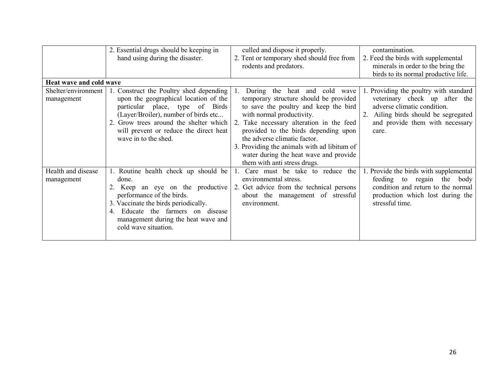|                                                              | 2. Essential drugs should be keeping in<br>hand using during the disaster.                                                                                                                                                                                                 | culled and dispose it properly.<br>2. Tent or temporary shed should free from<br>rodents and predators.                                                                                                                                                                                                                                                                                       | contamination.<br>2. Feed the birds with supplemental<br>minerals in order to the bring the<br>birds to its normal productive life.                                                        |
|--------------------------------------------------------------|----------------------------------------------------------------------------------------------------------------------------------------------------------------------------------------------------------------------------------------------------------------------------|-----------------------------------------------------------------------------------------------------------------------------------------------------------------------------------------------------------------------------------------------------------------------------------------------------------------------------------------------------------------------------------------------|--------------------------------------------------------------------------------------------------------------------------------------------------------------------------------------------|
| Heat wave and cold wave<br>Shelter/environment<br>management | 1. Construct the Poultry shed depending<br>upon the geographical location of the<br>particular place, type of<br>Birds<br>(Layer/Broiler), number of birds etc<br>2. Grow trees around the shelter which<br>will prevent or reduce the direct heat<br>wave in to the shed. | heat and cold wave<br>During the<br>temporary structure should be provided<br>to save the poultry and keep the bird<br>with normal productivity.<br>2. Take necessary alteration in the feed<br>provided to the birds depending upon<br>the adverse climatic factor.<br>3. Providing the animals with ad libitum of<br>water during the heat wave and provide<br>them with anti stress drugs. | 1. Providing the poultry with standard<br>veterinary check up after the<br>adverse climatic condition.<br>2. Ailing birds should be segregated<br>and provide them with necessary<br>care. |
| Health and disease<br>management                             | 1. Routine health check up should be<br>done.<br>2. Keep an eye on the productive<br>performance of the birds.<br>3. Vaccinate the birds periodically.<br>Educate the farmers on disease<br>4<br>management during the heat wave and<br>cold wave situation.               | Care must be take to reduce the<br>environmental stress.<br>2. Get advice from the technical persons<br>about the management of stressful<br>environment.                                                                                                                                                                                                                                     | 1. Provide the birds with supplemental<br>feeding to regain the body<br>condition and return to the normal<br>production which lost during the<br>stressful time.                          |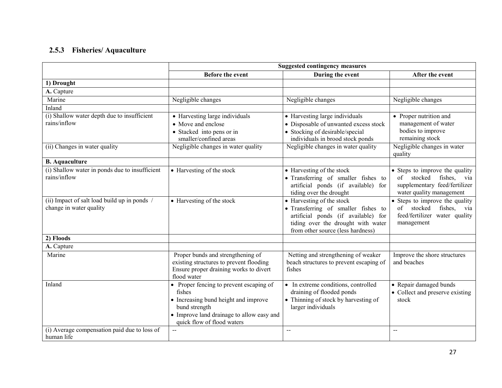## 2.5.3 Fisheries/ Aquaculture

|                                                                         | <b>Suggested contingency measures</b>                                                                                                                                                 |                                                                                                                                                                                                       |                                                                                                            |
|-------------------------------------------------------------------------|---------------------------------------------------------------------------------------------------------------------------------------------------------------------------------------|-------------------------------------------------------------------------------------------------------------------------------------------------------------------------------------------------------|------------------------------------------------------------------------------------------------------------|
|                                                                         | <b>Before the event</b>                                                                                                                                                               | During the event                                                                                                                                                                                      | After the event                                                                                            |
| 1) Drought                                                              |                                                                                                                                                                                       |                                                                                                                                                                                                       |                                                                                                            |
| A. Capture                                                              |                                                                                                                                                                                       |                                                                                                                                                                                                       |                                                                                                            |
| Marine                                                                  | Negligible changes                                                                                                                                                                    | Negligible changes                                                                                                                                                                                    | Negligible changes                                                                                         |
| Inland                                                                  |                                                                                                                                                                                       |                                                                                                                                                                                                       |                                                                                                            |
| (i) Shallow water depth due to insufficient                             | • Harvesting large individuals                                                                                                                                                        | • Harvesting large individuals                                                                                                                                                                        | • Proper nutrition and                                                                                     |
| rains/inflow                                                            | • Move and enclose                                                                                                                                                                    | • Disposable of unwanted excess stock                                                                                                                                                                 | management of water                                                                                        |
|                                                                         | • Stacked into pens or in<br>smaller/confined areas                                                                                                                                   | • Stocking of desirable/special<br>individuals in brood stock ponds                                                                                                                                   | bodies to improve<br>remaining stock                                                                       |
| (ii) Changes in water quality                                           | Negligible changes in water quality                                                                                                                                                   | Negligible changes in water quality                                                                                                                                                                   | Negligible changes in water<br>quality                                                                     |
| <b>B.</b> Aquaculture                                                   |                                                                                                                                                                                       |                                                                                                                                                                                                       |                                                                                                            |
| (i) Shallow water in ponds due to insufficient                          | • Harvesting of the stock                                                                                                                                                             | • Harvesting of the stock                                                                                                                                                                             | • Steps to improve the quality                                                                             |
| rains/inflow                                                            |                                                                                                                                                                                       | • Transferring of smaller fishes to<br>artificial ponds (if available) for<br>tiding over the drought                                                                                                 | of stocked<br>fishes, via<br>supplementary feed/fertilizer<br>water quality management                     |
| (ii) Impact of salt load build up in ponds /<br>change in water quality | • Harvesting of the stock                                                                                                                                                             | $\overline{\bullet}$ Harvesting of the stock<br>• Transferring of smaller fishes to<br>artificial ponds (if available) for<br>tiding over the drought with water<br>from other source (less hardness) | • Steps to improve the quality<br>of stocked<br>fishes, via<br>feed/fertilizer water quality<br>management |
| 2) Floods                                                               |                                                                                                                                                                                       |                                                                                                                                                                                                       |                                                                                                            |
| A. Capture                                                              |                                                                                                                                                                                       |                                                                                                                                                                                                       |                                                                                                            |
| Marine                                                                  | Proper bunds and strengthening of<br>existing structures to prevent flooding<br>Ensure proper draining works to divert<br>flood water                                                 | Netting and strengthening of weaker<br>beach structures to prevent escaping of<br>fishes                                                                                                              | Improve the shore structures<br>and beaches                                                                |
| Inland                                                                  | • Proper fencing to prevent escaping of<br>fishes<br>• Increasing bund height and improve<br>bund strength<br>• Improve land drainage to allow easy and<br>quick flow of flood waters | • In extreme conditions, controlled<br>draining of flooded ponds<br>• Thinning of stock by harvesting of<br>larger individuals                                                                        | • Repair damaged bunds<br>• Collect and preserve existing<br>stock                                         |
| (i) Average compensation paid due to loss of<br>human life              | $\sim$ $\sim$                                                                                                                                                                         | $\overline{a}$                                                                                                                                                                                        | $\rightarrow$                                                                                              |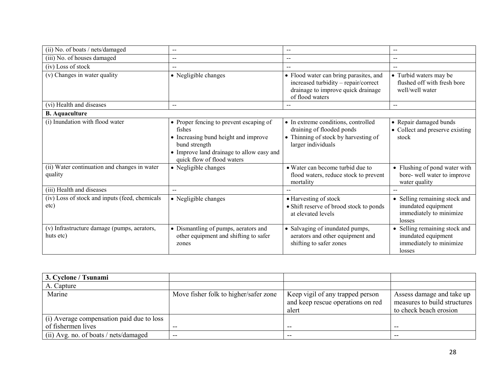| (ii) No. of boats / nets/damaged                         | $\sim$ $\sim$                                                                                                                                                                         | $-$                                                                                                                                     | $\sim$ $\sim$                                                                             |
|----------------------------------------------------------|---------------------------------------------------------------------------------------------------------------------------------------------------------------------------------------|-----------------------------------------------------------------------------------------------------------------------------------------|-------------------------------------------------------------------------------------------|
| (iii) No. of houses damaged                              | $- -$                                                                                                                                                                                 | $-$                                                                                                                                     | $-$                                                                                       |
| (iv) Loss of stock                                       | $\overline{\phantom{m}}$                                                                                                                                                              |                                                                                                                                         | $\sim$                                                                                    |
| (v) Changes in water quality                             | • Negligible changes                                                                                                                                                                  | • Flood water can bring parasites, and<br>increased turbidity – repair/correct<br>drainage to improve quick drainage<br>of flood waters | • Turbid waters may be<br>flushed off with fresh bore<br>well/well water                  |
| (vi) Health and diseases                                 | $\sim$ $\sim$                                                                                                                                                                         |                                                                                                                                         | $\sim$ $\sim$                                                                             |
| <b>B.</b> Aquaculture                                    |                                                                                                                                                                                       |                                                                                                                                         |                                                                                           |
| (i) Inundation with flood water                          | • Proper fencing to prevent escaping of<br>fishes<br>• Increasing bund height and improve<br>bund strength<br>• Improve land drainage to allow easy and<br>quick flow of flood waters | • In extreme conditions, controlled<br>draining of flooded ponds<br>• Thinning of stock by harvesting of<br>larger individuals          | • Repair damaged bunds<br>• Collect and preserve existing<br>stock                        |
| (ii) Water continuation and changes in water<br>quality  | • Negligible changes                                                                                                                                                                  | • Water can become turbid due to<br>flood waters, reduce stock to prevent<br>mortality                                                  | • Flushing of pond water with<br>bore-well water to improve<br>water quality              |
| (iii) Health and diseases                                | $\sim$ $\sim$                                                                                                                                                                         |                                                                                                                                         |                                                                                           |
| (iv) Loss of stock and inputs (feed, chemicals<br>etc)   | • Negligible changes                                                                                                                                                                  | • Harvesting of stock<br>• Shift reserve of brood stock to ponds<br>at elevated levels                                                  | • Selling remaining stock and<br>inundated equipment<br>immediately to minimize<br>losses |
| (v) Infrastructure damage (pumps, aerators,<br>huts etc) | • Dismantling of pumps, aerators and<br>other equipment and shifting to safer<br>zones                                                                                                | • Salvaging of inundated pumps,<br>aerators and other equipment and<br>shifting to safer zones                                          | • Selling remaining stock and<br>inundated equipment<br>immediately to minimize<br>losses |

| 3. Cyclone / Tsunami                                            |                                       |                                                                                |                                                                                     |
|-----------------------------------------------------------------|---------------------------------------|--------------------------------------------------------------------------------|-------------------------------------------------------------------------------------|
| A. Capture                                                      |                                       |                                                                                |                                                                                     |
| Marine                                                          | Move fisher folk to higher/safer zone | Keep vigil of any trapped person<br>and keep rescue operations on red<br>alert | Assess damage and take up<br>measures to build structures<br>to check beach erosion |
| (i) Average compensation paid due to loss<br>of fishermen lives |                                       |                                                                                |                                                                                     |
|                                                                 |                                       | --                                                                             |                                                                                     |
| (ii) Avg. no. of boats / nets/damaged                           | $- -$                                 | --                                                                             |                                                                                     |